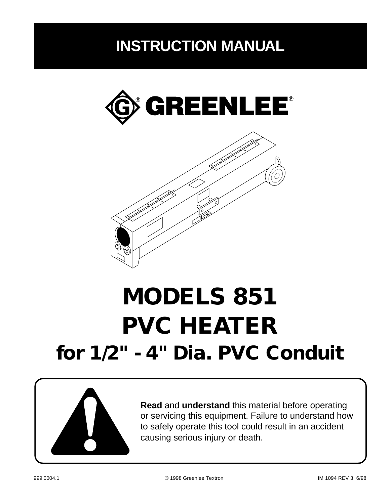## **INSTRUCTION MANUAL**





# **MODELS 851 PVC HEATER for 1/2" - 4" Dia. PVC Conduit**



**Read** and **understand** this material before operating or servicing this equipment. Failure to understand how to safely operate this tool could result in an accident causing serious injury or death.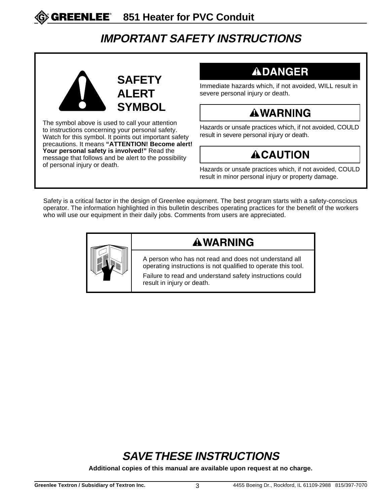## **IMPORTANT SAFETY INSTRUCTIONS**



The symbol above is used to call your attention to instructions concerning your personal safety. Watch for this symbol. It points out important safety precautions. It means **"ATTENTION! Become alert! Your personal safety is involved!"** Read the message that follows and be alert to the possibility<br>of personal injury or death.

## **ADANGER**

Immediate hazards which, if not avoided, WILL result in severe personal injury or death.

## **AWARNING**

Hazards or unsafe practices which, if not avoided, COULD result in severe personal injury or death.

## **ACAUTION**

Hazards or unsafe practices which, if not avoided, COULD result in minor personal injury or property damage.

Safety is a critical factor in the design of Greenlee equipment. The best program starts with a safety-conscious operator. The information highlighted in this bulletin describes operating practices for the benefit of the workers who will use our equipment in their daily jobs. Comments from users are appreciated.



#### **AWARNING**

A person who has not read and does not understand all operating instructions is not qualified to operate this tool.

Failure to read and understand safety instructions could result in injury or death.

## **SAVE THESE INSTRUCTIONS**

**Additional copies of this manual are available upon request at no charge.**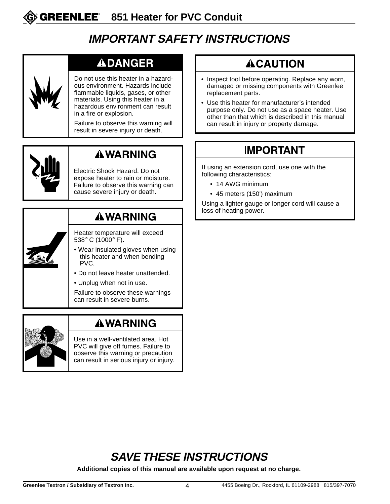## **IMPORTANT SAFETY INSTRUCTIONS**

#### **ADANGER**

Do not use this heater in a hazardous environment. Hazards include flammable liquids, gases, or other materials. Using this heater in a hazardous environment can result in a fire or explosion.

Failure to observe this warning will result in severe injury or death.



## **AWARNING**

Electric Shock Hazard. Do not expose heater to rain or moisture. Failure to observe this warning can cause severe injury or death.

## **AWARNING**

Heater temperature will exceed 538° C (1000° F).

- Wear insulated gloves when using this heater and when bending PVC.
- Do not leave heater unattended.
- Unplug when not in use.

Failure to observe these warnings can result in severe burns.



#### **AWARNING**

Use in a well-ventilated area. Hot PVC will give off fumes. Failure to observe this warning or precaution can result in serious injury or injury.

## **ACAUTION**

- Inspect tool before operating. Replace any worn, damaged or missing components with Greenlee replacement parts.
- Use this heater for manufacturer's intended purpose only. Do not use as a space heater. Use other than that which is described in this manual can result in injury or property damage.

## **IMPORTANT**

If using an extension cord, use one with the following characteristics:

- 14 AWG minimum
- 45 meters (150') maximum

Using a lighter gauge or longer cord will cause a loss of heating power.

## **SAVE THESE INSTRUCTIONS**

**Additional copies of this manual are available upon request at no charge.**